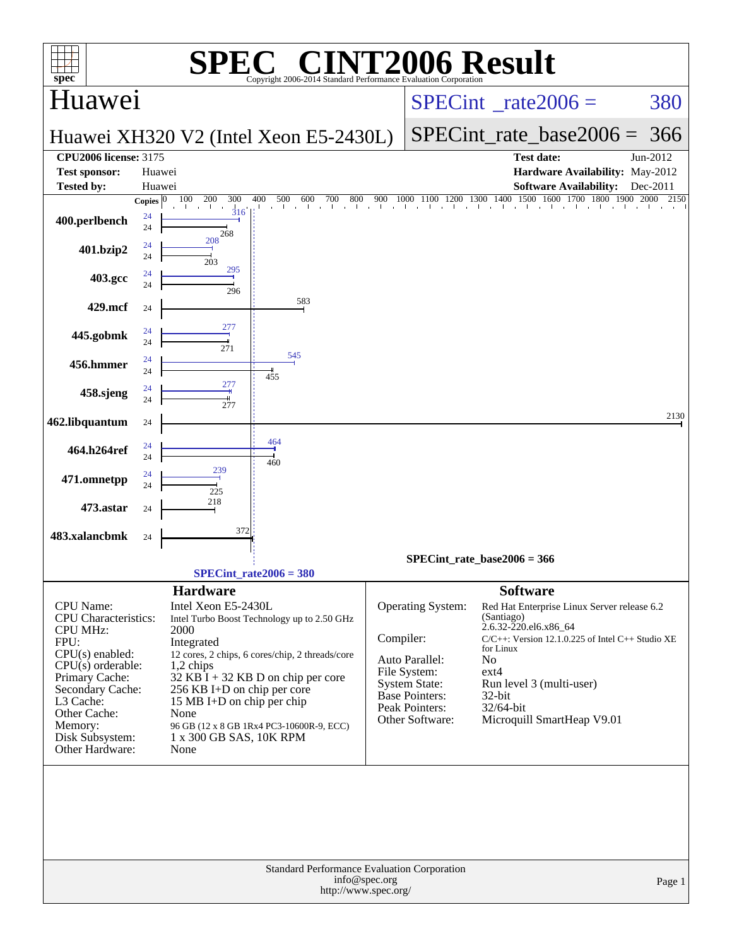| $spec^*$                                                                                                                                                                                                                                   | $\bigwedge$<br>Copyright 2006-2014 Standard Performance Evaluation Corporation                                                                                                                                                                                                                                                                                                       |               |                                                                                                                                                  | <b>NT2006 Result</b>                                                                                                                                                                                                                                                              |                      |
|--------------------------------------------------------------------------------------------------------------------------------------------------------------------------------------------------------------------------------------------|--------------------------------------------------------------------------------------------------------------------------------------------------------------------------------------------------------------------------------------------------------------------------------------------------------------------------------------------------------------------------------------|---------------|--------------------------------------------------------------------------------------------------------------------------------------------------|-----------------------------------------------------------------------------------------------------------------------------------------------------------------------------------------------------------------------------------------------------------------------------------|----------------------|
| Huawei                                                                                                                                                                                                                                     |                                                                                                                                                                                                                                                                                                                                                                                      |               |                                                                                                                                                  | $SPECint^{\circ} rate2006 =$                                                                                                                                                                                                                                                      | 380                  |
|                                                                                                                                                                                                                                            | Huawei XH320 V2 (Intel Xeon E5-2430L)                                                                                                                                                                                                                                                                                                                                                |               |                                                                                                                                                  | SPECint rate base $2006 = 366$                                                                                                                                                                                                                                                    |                      |
| <b>CPU2006 license: 3175</b><br>Test sponsor:<br><b>Tested by:</b>                                                                                                                                                                         | Huawei<br>Huawei                                                                                                                                                                                                                                                                                                                                                                     |               |                                                                                                                                                  | <b>Test date:</b><br>Hardware Availability: May-2012<br><b>Software Availability:</b>                                                                                                                                                                                             | Jun-2012<br>Dec-2011 |
| Copies $ 0\rangle$<br>24<br>400.perlbench<br>24                                                                                                                                                                                            | 100<br>200<br>300<br>400<br>500<br>600<br>700<br>800<br>316                                                                                                                                                                                                                                                                                                                          | 900           |                                                                                                                                                  | 1000 1100 1200 1300 1400 1500 1600 1700 1800 1900 2000<br>a chairmacha chairm is chairm in the baile and a chairm                                                                                                                                                                 | 2150                 |
| 24<br>401.bzip2<br>24                                                                                                                                                                                                                      | 268<br>208<br>203                                                                                                                                                                                                                                                                                                                                                                    |               |                                                                                                                                                  |                                                                                                                                                                                                                                                                                   |                      |
| 24<br>403.gcc<br>24                                                                                                                                                                                                                        | 295<br>296                                                                                                                                                                                                                                                                                                                                                                           |               |                                                                                                                                                  |                                                                                                                                                                                                                                                                                   |                      |
| 429.mcf<br>24                                                                                                                                                                                                                              | 583                                                                                                                                                                                                                                                                                                                                                                                  |               |                                                                                                                                                  |                                                                                                                                                                                                                                                                                   |                      |
| 24<br>445.gobmk<br>24                                                                                                                                                                                                                      | 277<br>271                                                                                                                                                                                                                                                                                                                                                                           |               |                                                                                                                                                  |                                                                                                                                                                                                                                                                                   |                      |
| 24<br>456.hmmer<br>24                                                                                                                                                                                                                      | 545<br>455                                                                                                                                                                                                                                                                                                                                                                           |               |                                                                                                                                                  |                                                                                                                                                                                                                                                                                   |                      |
| 24<br>458.sjeng<br>24                                                                                                                                                                                                                      | 277<br>277                                                                                                                                                                                                                                                                                                                                                                           |               |                                                                                                                                                  |                                                                                                                                                                                                                                                                                   |                      |
| 462.libquantum<br>24                                                                                                                                                                                                                       | 464                                                                                                                                                                                                                                                                                                                                                                                  |               |                                                                                                                                                  |                                                                                                                                                                                                                                                                                   | 2130                 |
| 24<br>464.h264ref<br>24                                                                                                                                                                                                                    | 460<br>239                                                                                                                                                                                                                                                                                                                                                                           |               |                                                                                                                                                  |                                                                                                                                                                                                                                                                                   |                      |
| 24<br>471.omnetpp<br>24                                                                                                                                                                                                                    | 225<br>218                                                                                                                                                                                                                                                                                                                                                                           |               |                                                                                                                                                  |                                                                                                                                                                                                                                                                                   |                      |
| 473.astar<br>24                                                                                                                                                                                                                            | 372                                                                                                                                                                                                                                                                                                                                                                                  |               |                                                                                                                                                  |                                                                                                                                                                                                                                                                                   |                      |
| 483.xalancbmk<br>24                                                                                                                                                                                                                        |                                                                                                                                                                                                                                                                                                                                                                                      |               |                                                                                                                                                  | SPECint rate base $2006 = 366$                                                                                                                                                                                                                                                    |                      |
|                                                                                                                                                                                                                                            | SPECint rate $2006 = 380$                                                                                                                                                                                                                                                                                                                                                            |               |                                                                                                                                                  |                                                                                                                                                                                                                                                                                   |                      |
| <b>CPU</b> Name:<br><b>CPU</b> Characteristics:<br><b>CPU MHz:</b><br>FPU:<br>$CPU(s)$ enabled:<br>$CPU(s)$ orderable:<br>Primary Cache:<br>Secondary Cache:<br>L3 Cache:<br>Other Cache:<br>Memory:<br>Disk Subsystem:<br>Other Hardware: | <b>Hardware</b><br>Intel Xeon E5-2430L<br>Intel Turbo Boost Technology up to 2.50 GHz<br>2000<br>Integrated<br>12 cores, 2 chips, 6 cores/chip, 2 threads/core<br>1,2 chips<br>$32$ KB $\overline{I}$ + 32 KB D on chip per core<br>256 KB I+D on chip per core<br>15 MB I+D on chip per chip<br>None<br>96 GB (12 x 8 GB 1Rx4 PC3-10600R-9, ECC)<br>1 x 300 GB SAS, 10K RPM<br>None | Compiler:     | <b>Operating System:</b><br>Auto Parallel:<br>File System:<br><b>System State:</b><br><b>Base Pointers:</b><br>Peak Pointers:<br>Other Software: | <b>Software</b><br>Red Hat Enterprise Linux Server release 6.2<br>(Santiago)<br>2.6.32-220.el6.x86_64<br>$C/C++$ : Version 12.1.0.225 of Intel $C++$ Studio XE<br>for Linux<br>No<br>$ext{4}$<br>Run level 3 (multi-user)<br>32-bit<br>$32/64$ -bit<br>Microquill SmartHeap V9.01 |                      |
|                                                                                                                                                                                                                                            | Standard Performance Evaluation Corporation<br>http://www.spec.org/                                                                                                                                                                                                                                                                                                                  | info@spec.org |                                                                                                                                                  |                                                                                                                                                                                                                                                                                   | Page 1               |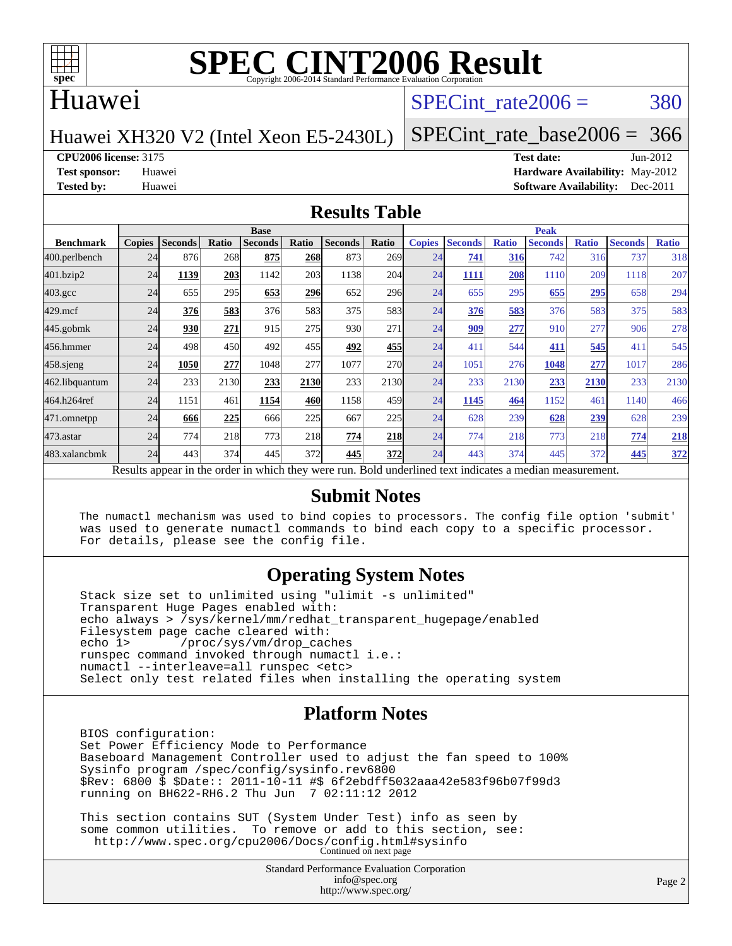

# **[SPEC CINT2006 Result](http://www.spec.org/auto/cpu2006/Docs/result-fields.html#SPECCINT2006Result)**

#### Huawei

#### SPECint rate $2006 = 380$

Huawei XH320 V2 (Intel Xeon E5-2430L)

[SPECint\\_rate\\_base2006 =](http://www.spec.org/auto/cpu2006/Docs/result-fields.html#SPECintratebase2006) 366

**[CPU2006 license:](http://www.spec.org/auto/cpu2006/Docs/result-fields.html#CPU2006license)** 3175 **[Test date:](http://www.spec.org/auto/cpu2006/Docs/result-fields.html#Testdate)** Jun-2012

**[Test sponsor:](http://www.spec.org/auto/cpu2006/Docs/result-fields.html#Testsponsor)** Huawei **[Hardware Availability:](http://www.spec.org/auto/cpu2006/Docs/result-fields.html#HardwareAvailability)** May-2012 **[Tested by:](http://www.spec.org/auto/cpu2006/Docs/result-fields.html#Testedby)** Huawei **[Software Availability:](http://www.spec.org/auto/cpu2006/Docs/result-fields.html#SoftwareAvailability)** Dec-2011

#### **[Results Table](http://www.spec.org/auto/cpu2006/Docs/result-fields.html#ResultsTable)**

|                                                                                                          | <b>Base</b>   |                |              |                |            |                |                  | <b>Peak</b>   |                |              |                |              |                |              |
|----------------------------------------------------------------------------------------------------------|---------------|----------------|--------------|----------------|------------|----------------|------------------|---------------|----------------|--------------|----------------|--------------|----------------|--------------|
| <b>Benchmark</b>                                                                                         | <b>Copies</b> | <b>Seconds</b> | <b>Ratio</b> | <b>Seconds</b> | Ratio      | <b>Seconds</b> | Ratio            | <b>Copies</b> | <b>Seconds</b> | <b>Ratio</b> | <b>Seconds</b> | <b>Ratio</b> | <b>Seconds</b> | <b>Ratio</b> |
| 400.perlbench                                                                                            | 24            | 876            | 268          | 875            | 268        | 873            | 269 <sub>1</sub> | 24            | 741            | 316          | 742            | 316          | 737            | 318          |
| 401.bzip2                                                                                                | 24            | 1139           | 203          | 1142           | 203        | 1138           | 204              | 24            | 1111           | 208          | 1110           | 209          | 1118           | 207          |
| $403.\mathrm{gcc}$                                                                                       | 24            | 655            | 295          | 653            | <b>296</b> | 652            | 296              | 24            | 655            | 295          | 655            | 295          | 658            | 294          |
| $429$ .mcf                                                                                               | 24            | 376            | 583          | 376            | 583        | 375            | 583              | 24            | 376            | 583          | 376            | 583          | 375            | 583          |
| $445$ .gobmk                                                                                             | 24            | 930            | 271          | 915            | 275        | 930            | 271              | 24            | 909            | 277          | 910            | 277          | 906            | 278          |
| 456.hmmer                                                                                                | 24            | 498            | 450          | 492            | 455        | 492            | 455              | 24            | 411            | 544          | 411            | 545          | 411            | 545          |
| $458$ .sjeng                                                                                             | 24            | 1050           | 277          | 1048           | 277        | 1077           | <b>270</b>       | 24            | 1051           | 276          | 1048           | 277          | 1017           | 286          |
| 462.libquantum                                                                                           | 24            | 233            | 2130         | 233            | 2130       | 233            | 2130             | 24            | 233            | 2130         | 233            | 2130         | 233            | 2130         |
| 464.h264ref                                                                                              | 24            | 1151           | 461          | 1154           | 460        | 1158           | 459              | 24            | 1145           | 464          | 1152           | 461          | 1140           | 466          |
| 471.omnetpp                                                                                              | 24            | 666            | 225          | 666            | 225        | 667            | 225              | 24            | 628            | 239          | 628            | 239          | 628            | 239          |
| $473$ . astar                                                                                            | 24            | 774            | 218          | 773            | 218        | 774            | 218              | 24            | 774            | 218          | 773            | 218          | 774            | 218          |
| 483.xalancbmk                                                                                            | 24            | 443            | 374          | 445            | 372        | 445            | 372              | 24            | 443            | 374          | 445            | 372          | 445            | 372          |
| Results appear in the order in which they were run. Bold underlined text indicates a median measurement. |               |                |              |                |            |                |                  |               |                |              |                |              |                |              |

#### **[Submit Notes](http://www.spec.org/auto/cpu2006/Docs/result-fields.html#SubmitNotes)**

 The numactl mechanism was used to bind copies to processors. The config file option 'submit' was used to generate numactl commands to bind each copy to a specific processor. For details, please see the config file.

#### **[Operating System Notes](http://www.spec.org/auto/cpu2006/Docs/result-fields.html#OperatingSystemNotes)**

 Stack size set to unlimited using "ulimit -s unlimited" Transparent Huge Pages enabled with: echo always > /sys/kernel/mm/redhat\_transparent\_hugepage/enabled Filesystem page cache cleared with:<br>echo 1> /proc/sys/vm/drop cac /proc/sys/vm/drop\_caches runspec command invoked through numactl i.e.: numactl --interleave=all runspec <etc> Select only test related files when installing the operating system

#### **[Platform Notes](http://www.spec.org/auto/cpu2006/Docs/result-fields.html#PlatformNotes)**

 BIOS configuration: Set Power Efficiency Mode to Performance Baseboard Management Controller used to adjust the fan speed to 100% Sysinfo program /spec/config/sysinfo.rev6800 \$Rev: 6800 \$ \$Date:: 2011-10-11 #\$ 6f2ebdff5032aaa42e583f96b07f99d3 running on BH622-RH6.2 Thu Jun 7 02:11:12 2012

 This section contains SUT (System Under Test) info as seen by some common utilities. To remove or add to this section, see: <http://www.spec.org/cpu2006/Docs/config.html#sysinfo> Continued on next page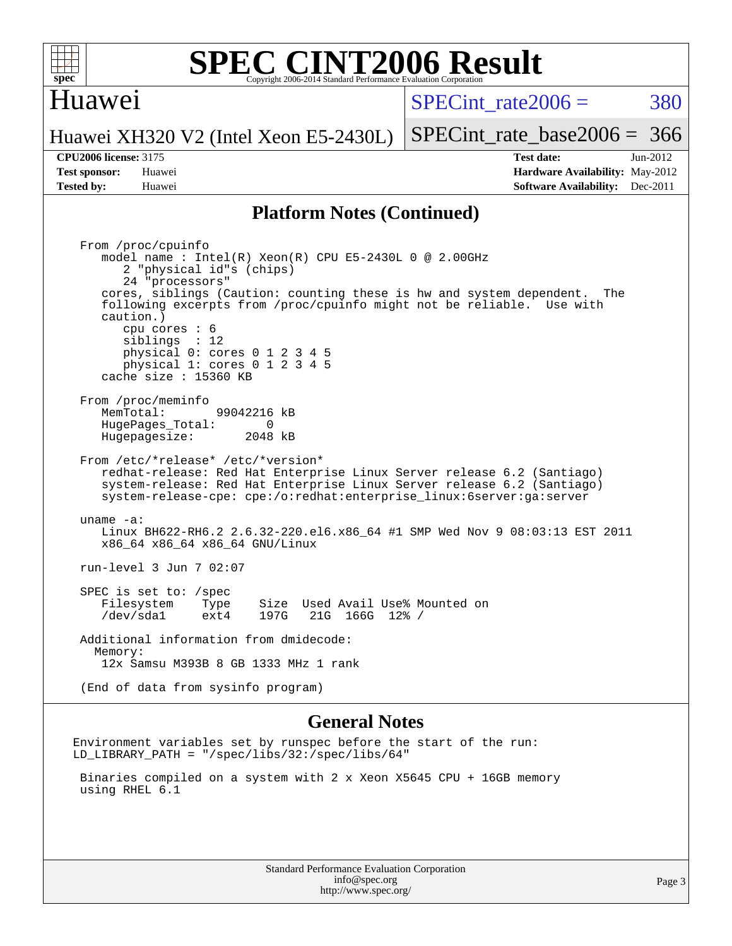

#### **[SPEC CINT2006 Result](http://www.spec.org/auto/cpu2006/Docs/result-fields.html#SPECCINT2006Result)** Copyright 2006-2014 Standard Performance Evaluation Corporation

#### Huawei

 $SPECint rate2006 = 380$ 

[SPECint\\_rate\\_base2006 =](http://www.spec.org/auto/cpu2006/Docs/result-fields.html#SPECintratebase2006) 366

Huawei XH320 V2 (Intel Xeon E5-2430L)

**[Tested by:](http://www.spec.org/auto/cpu2006/Docs/result-fields.html#Testedby)** Huawei **[Software Availability:](http://www.spec.org/auto/cpu2006/Docs/result-fields.html#SoftwareAvailability)** Dec-2011

**[CPU2006 license:](http://www.spec.org/auto/cpu2006/Docs/result-fields.html#CPU2006license)** 3175 **[Test date:](http://www.spec.org/auto/cpu2006/Docs/result-fields.html#Testdate)** Jun-2012 **[Test sponsor:](http://www.spec.org/auto/cpu2006/Docs/result-fields.html#Testsponsor)** Huawei **[Hardware Availability:](http://www.spec.org/auto/cpu2006/Docs/result-fields.html#HardwareAvailability)** May-2012

#### **[Platform Notes \(Continued\)](http://www.spec.org/auto/cpu2006/Docs/result-fields.html#PlatformNotes)**

 From /proc/cpuinfo model name : Intel(R) Xeon(R) CPU E5-2430L 0 @ 2.00GHz 2 "physical id"s (chips) 24 "processors" cores, siblings (Caution: counting these is hw and system dependent. The following excerpts from /proc/cpuinfo might not be reliable. Use with caution.) cpu cores : 6 siblings : 12 physical 0: cores 0 1 2 3 4 5 physical 1: cores 0 1 2 3 4 5 cache size : 15360 KB From /proc/meminfo MemTotal: 99042216 kB<br>HugePages Total: 0 HugePages\_Total: 0 Hugepagesize: 2048 kB From /etc/\*release\* /etc/\*version\* redhat-release: Red Hat Enterprise Linux Server release 6.2 (Santiago) system-release: Red Hat Enterprise Linux Server release 6.2 (Santiago) system-release-cpe: cpe:/o:redhat:enterprise\_linux:6server:ga:server uname -a: Linux BH622-RH6.2 2.6.32-220.el6.x86\_64 #1 SMP Wed Nov 9 08:03:13 EST 2011 x86\_64 x86\_64 x86\_64 GNU/Linux run-level 3 Jun 7 02:07 SPEC is set to: /spec Filesystem Type Size Used Avail Use% Mounted on<br>
/dev/sdal ext4 197G 21G 166G 12% / /dev/sda1 ext4 197G 21G 166G 12% / Additional information from dmidecode: Memory: 12x Samsu M393B 8 GB 1333 MHz 1 rank (End of data from sysinfo program)

#### **[General Notes](http://www.spec.org/auto/cpu2006/Docs/result-fields.html#GeneralNotes)**

Environment variables set by runspec before the start of the run: LD\_LIBRARY\_PATH = "/spec/libs/32:/spec/libs/64"

 Binaries compiled on a system with 2 x Xeon X5645 CPU + 16GB memory using RHEL 6.1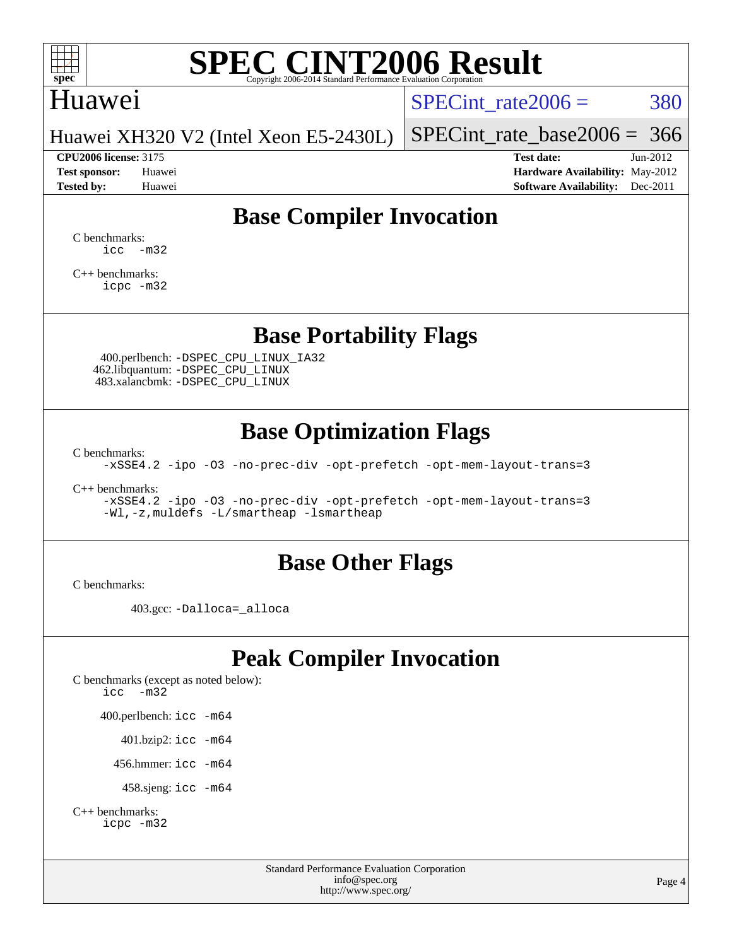

# **[SPEC CINT2006 Result](http://www.spec.org/auto/cpu2006/Docs/result-fields.html#SPECCINT2006Result)**

### Huawei

SPECint rate $2006 = 380$ 

[SPECint\\_rate\\_base2006 =](http://www.spec.org/auto/cpu2006/Docs/result-fields.html#SPECintratebase2006) 366

Huawei XH320 V2 (Intel Xeon E5-2430L)

**[Tested by:](http://www.spec.org/auto/cpu2006/Docs/result-fields.html#Testedby)** Huawei **[Software Availability:](http://www.spec.org/auto/cpu2006/Docs/result-fields.html#SoftwareAvailability)** Dec-2011

**[CPU2006 license:](http://www.spec.org/auto/cpu2006/Docs/result-fields.html#CPU2006license)** 3175 **[Test date:](http://www.spec.org/auto/cpu2006/Docs/result-fields.html#Testdate)** Jun-2012 **[Test sponsor:](http://www.spec.org/auto/cpu2006/Docs/result-fields.html#Testsponsor)** Huawei **[Hardware Availability:](http://www.spec.org/auto/cpu2006/Docs/result-fields.html#HardwareAvailability)** May-2012

# **[Base Compiler Invocation](http://www.spec.org/auto/cpu2006/Docs/result-fields.html#BaseCompilerInvocation)**

[C benchmarks](http://www.spec.org/auto/cpu2006/Docs/result-fields.html#Cbenchmarks):  $\text{icc}$   $-\text{m32}$ 

[C++ benchmarks:](http://www.spec.org/auto/cpu2006/Docs/result-fields.html#CXXbenchmarks) [icpc -m32](http://www.spec.org/cpu2006/results/res2012q3/cpu2006-20120629-23266.flags.html#user_CXXbase_intel_icpc_4e5a5ef1a53fd332b3c49e69c3330699)

## **[Base Portability Flags](http://www.spec.org/auto/cpu2006/Docs/result-fields.html#BasePortabilityFlags)**

 400.perlbench: [-DSPEC\\_CPU\\_LINUX\\_IA32](http://www.spec.org/cpu2006/results/res2012q3/cpu2006-20120629-23266.flags.html#b400.perlbench_baseCPORTABILITY_DSPEC_CPU_LINUX_IA32) 462.libquantum: [-DSPEC\\_CPU\\_LINUX](http://www.spec.org/cpu2006/results/res2012q3/cpu2006-20120629-23266.flags.html#b462.libquantum_baseCPORTABILITY_DSPEC_CPU_LINUX) 483.xalancbmk: [-DSPEC\\_CPU\\_LINUX](http://www.spec.org/cpu2006/results/res2012q3/cpu2006-20120629-23266.flags.html#b483.xalancbmk_baseCXXPORTABILITY_DSPEC_CPU_LINUX)

# **[Base Optimization Flags](http://www.spec.org/auto/cpu2006/Docs/result-fields.html#BaseOptimizationFlags)**

[C benchmarks](http://www.spec.org/auto/cpu2006/Docs/result-fields.html#Cbenchmarks):

[-xSSE4.2](http://www.spec.org/cpu2006/results/res2012q3/cpu2006-20120629-23266.flags.html#user_CCbase_f-xSSE42_f91528193cf0b216347adb8b939d4107) [-ipo](http://www.spec.org/cpu2006/results/res2012q3/cpu2006-20120629-23266.flags.html#user_CCbase_f-ipo) [-O3](http://www.spec.org/cpu2006/results/res2012q3/cpu2006-20120629-23266.flags.html#user_CCbase_f-O3) [-no-prec-div](http://www.spec.org/cpu2006/results/res2012q3/cpu2006-20120629-23266.flags.html#user_CCbase_f-no-prec-div) [-opt-prefetch](http://www.spec.org/cpu2006/results/res2012q3/cpu2006-20120629-23266.flags.html#user_CCbase_f-opt-prefetch) [-opt-mem-layout-trans=3](http://www.spec.org/cpu2006/results/res2012q3/cpu2006-20120629-23266.flags.html#user_CCbase_f-opt-mem-layout-trans_a7b82ad4bd7abf52556d4961a2ae94d5)

[C++ benchmarks:](http://www.spec.org/auto/cpu2006/Docs/result-fields.html#CXXbenchmarks)

[-xSSE4.2](http://www.spec.org/cpu2006/results/res2012q3/cpu2006-20120629-23266.flags.html#user_CXXbase_f-xSSE42_f91528193cf0b216347adb8b939d4107) [-ipo](http://www.spec.org/cpu2006/results/res2012q3/cpu2006-20120629-23266.flags.html#user_CXXbase_f-ipo) [-O3](http://www.spec.org/cpu2006/results/res2012q3/cpu2006-20120629-23266.flags.html#user_CXXbase_f-O3) [-no-prec-div](http://www.spec.org/cpu2006/results/res2012q3/cpu2006-20120629-23266.flags.html#user_CXXbase_f-no-prec-div) [-opt-prefetch](http://www.spec.org/cpu2006/results/res2012q3/cpu2006-20120629-23266.flags.html#user_CXXbase_f-opt-prefetch) [-opt-mem-layout-trans=3](http://www.spec.org/cpu2006/results/res2012q3/cpu2006-20120629-23266.flags.html#user_CXXbase_f-opt-mem-layout-trans_a7b82ad4bd7abf52556d4961a2ae94d5) [-Wl,-z,muldefs](http://www.spec.org/cpu2006/results/res2012q3/cpu2006-20120629-23266.flags.html#user_CXXbase_link_force_multiple1_74079c344b956b9658436fd1b6dd3a8a) [-L/smartheap -lsmartheap](http://www.spec.org/cpu2006/results/res2012q3/cpu2006-20120629-23266.flags.html#user_CXXbase_SmartHeap_7c9e394a5779e1a7fec7c221e123830c)

### **[Base Other Flags](http://www.spec.org/auto/cpu2006/Docs/result-fields.html#BaseOtherFlags)**

[C benchmarks](http://www.spec.org/auto/cpu2006/Docs/result-fields.html#Cbenchmarks):

403.gcc: [-Dalloca=\\_alloca](http://www.spec.org/cpu2006/results/res2012q3/cpu2006-20120629-23266.flags.html#b403.gcc_baseEXTRA_CFLAGS_Dalloca_be3056838c12de2578596ca5467af7f3)

# **[Peak Compiler Invocation](http://www.spec.org/auto/cpu2006/Docs/result-fields.html#PeakCompilerInvocation)**

[C benchmarks \(except as noted below\)](http://www.spec.org/auto/cpu2006/Docs/result-fields.html#Cbenchmarksexceptasnotedbelow): [icc -m32](http://www.spec.org/cpu2006/results/res2012q3/cpu2006-20120629-23266.flags.html#user_CCpeak_intel_icc_5ff4a39e364c98233615fdd38438c6f2) 400.perlbench: [icc -m64](http://www.spec.org/cpu2006/results/res2012q3/cpu2006-20120629-23266.flags.html#user_peakCCLD400_perlbench_intel_icc_64bit_bda6cc9af1fdbb0edc3795bac97ada53) 401.bzip2: [icc -m64](http://www.spec.org/cpu2006/results/res2012q3/cpu2006-20120629-23266.flags.html#user_peakCCLD401_bzip2_intel_icc_64bit_bda6cc9af1fdbb0edc3795bac97ada53)

456.hmmer: [icc -m64](http://www.spec.org/cpu2006/results/res2012q3/cpu2006-20120629-23266.flags.html#user_peakCCLD456_hmmer_intel_icc_64bit_bda6cc9af1fdbb0edc3795bac97ada53)

458.sjeng: [icc -m64](http://www.spec.org/cpu2006/results/res2012q3/cpu2006-20120629-23266.flags.html#user_peakCCLD458_sjeng_intel_icc_64bit_bda6cc9af1fdbb0edc3795bac97ada53)

```
C++ benchmarks: 
    icpc -m32
```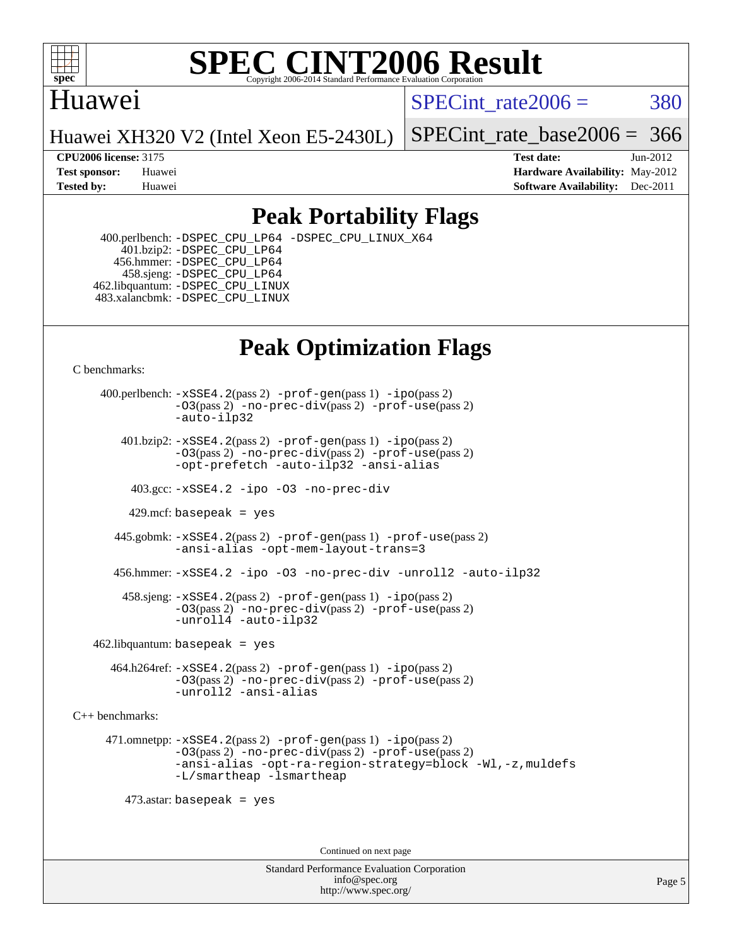

#### **[SPEC CINT2006 Result](http://www.spec.org/auto/cpu2006/Docs/result-fields.html#SPECCINT2006Result)** Copyright 2006-2014 Standard Performance Evaluation C

## Huawei

SPECint rate $2006 = 380$ 

Huawei XH320 V2 (Intel Xeon E5-2430L)

SPECint rate base  $2006 = 366$ 

**[CPU2006 license:](http://www.spec.org/auto/cpu2006/Docs/result-fields.html#CPU2006license)** 3175 **[Test date:](http://www.spec.org/auto/cpu2006/Docs/result-fields.html#Testdate)** Jun-2012 **[Test sponsor:](http://www.spec.org/auto/cpu2006/Docs/result-fields.html#Testsponsor)** Huawei **[Hardware Availability:](http://www.spec.org/auto/cpu2006/Docs/result-fields.html#HardwareAvailability)** May-2012 **[Tested by:](http://www.spec.org/auto/cpu2006/Docs/result-fields.html#Testedby)** Huawei **[Software Availability:](http://www.spec.org/auto/cpu2006/Docs/result-fields.html#SoftwareAvailability)** Dec-2011

# **[Peak Portability Flags](http://www.spec.org/auto/cpu2006/Docs/result-fields.html#PeakPortabilityFlags)**

 400.perlbench: [-DSPEC\\_CPU\\_LP64](http://www.spec.org/cpu2006/results/res2012q3/cpu2006-20120629-23266.flags.html#b400.perlbench_peakCPORTABILITY_DSPEC_CPU_LP64) [-DSPEC\\_CPU\\_LINUX\\_X64](http://www.spec.org/cpu2006/results/res2012q3/cpu2006-20120629-23266.flags.html#b400.perlbench_peakCPORTABILITY_DSPEC_CPU_LINUX_X64) 401.bzip2: [-DSPEC\\_CPU\\_LP64](http://www.spec.org/cpu2006/results/res2012q3/cpu2006-20120629-23266.flags.html#suite_peakCPORTABILITY401_bzip2_DSPEC_CPU_LP64) 456.hmmer: [-DSPEC\\_CPU\\_LP64](http://www.spec.org/cpu2006/results/res2012q3/cpu2006-20120629-23266.flags.html#suite_peakCPORTABILITY456_hmmer_DSPEC_CPU_LP64) 458.sjeng: [-DSPEC\\_CPU\\_LP64](http://www.spec.org/cpu2006/results/res2012q3/cpu2006-20120629-23266.flags.html#suite_peakCPORTABILITY458_sjeng_DSPEC_CPU_LP64) 462.libquantum: [-DSPEC\\_CPU\\_LINUX](http://www.spec.org/cpu2006/results/res2012q3/cpu2006-20120629-23266.flags.html#b462.libquantum_peakCPORTABILITY_DSPEC_CPU_LINUX) 483.xalancbmk: [-DSPEC\\_CPU\\_LINUX](http://www.spec.org/cpu2006/results/res2012q3/cpu2006-20120629-23266.flags.html#b483.xalancbmk_peakCXXPORTABILITY_DSPEC_CPU_LINUX)

# **[Peak Optimization Flags](http://www.spec.org/auto/cpu2006/Docs/result-fields.html#PeakOptimizationFlags)**

[C benchmarks](http://www.spec.org/auto/cpu2006/Docs/result-fields.html#Cbenchmarks):

 400.perlbench: [-xSSE4.2](http://www.spec.org/cpu2006/results/res2012q3/cpu2006-20120629-23266.flags.html#user_peakPASS2_CFLAGSPASS2_LDCFLAGS400_perlbench_f-xSSE42_f91528193cf0b216347adb8b939d4107)(pass 2) [-prof-gen](http://www.spec.org/cpu2006/results/res2012q3/cpu2006-20120629-23266.flags.html#user_peakPASS1_CFLAGSPASS1_LDCFLAGS400_perlbench_prof_gen_e43856698f6ca7b7e442dfd80e94a8fc)(pass 1) [-ipo](http://www.spec.org/cpu2006/results/res2012q3/cpu2006-20120629-23266.flags.html#user_peakPASS2_CFLAGSPASS2_LDCFLAGS400_perlbench_f-ipo)(pass 2) [-O3](http://www.spec.org/cpu2006/results/res2012q3/cpu2006-20120629-23266.flags.html#user_peakPASS2_CFLAGSPASS2_LDCFLAGS400_perlbench_f-O3)(pass 2) [-no-prec-div](http://www.spec.org/cpu2006/results/res2012q3/cpu2006-20120629-23266.flags.html#user_peakPASS2_CFLAGSPASS2_LDCFLAGS400_perlbench_f-no-prec-div)(pass 2) [-prof-use](http://www.spec.org/cpu2006/results/res2012q3/cpu2006-20120629-23266.flags.html#user_peakPASS2_CFLAGSPASS2_LDCFLAGS400_perlbench_prof_use_bccf7792157ff70d64e32fe3e1250b55)(pass 2) [-auto-ilp32](http://www.spec.org/cpu2006/results/res2012q3/cpu2006-20120629-23266.flags.html#user_peakCOPTIMIZE400_perlbench_f-auto-ilp32)  $401.bzip2: -xSSE4.2(pass 2) -prof-qen(pass 1) -ipo(pass 2)$  $401.bzip2: -xSSE4.2(pass 2) -prof-qen(pass 1) -ipo(pass 2)$  $401.bzip2: -xSSE4.2(pass 2) -prof-qen(pass 1) -ipo(pass 2)$  $401.bzip2: -xSSE4.2(pass 2) -prof-qen(pass 1) -ipo(pass 2)$  $401.bzip2: -xSSE4.2(pass 2) -prof-qen(pass 1) -ipo(pass 2)$ [-O3](http://www.spec.org/cpu2006/results/res2012q3/cpu2006-20120629-23266.flags.html#user_peakPASS2_CFLAGSPASS2_LDCFLAGS401_bzip2_f-O3)(pass 2) [-no-prec-div](http://www.spec.org/cpu2006/results/res2012q3/cpu2006-20120629-23266.flags.html#user_peakPASS2_CFLAGSPASS2_LDCFLAGS401_bzip2_f-no-prec-div)(pass 2) [-prof-use](http://www.spec.org/cpu2006/results/res2012q3/cpu2006-20120629-23266.flags.html#user_peakPASS2_CFLAGSPASS2_LDCFLAGS401_bzip2_prof_use_bccf7792157ff70d64e32fe3e1250b55)(pass 2) [-opt-prefetch](http://www.spec.org/cpu2006/results/res2012q3/cpu2006-20120629-23266.flags.html#user_peakCOPTIMIZE401_bzip2_f-opt-prefetch) [-auto-ilp32](http://www.spec.org/cpu2006/results/res2012q3/cpu2006-20120629-23266.flags.html#user_peakCOPTIMIZE401_bzip2_f-auto-ilp32) [-ansi-alias](http://www.spec.org/cpu2006/results/res2012q3/cpu2006-20120629-23266.flags.html#user_peakCOPTIMIZE401_bzip2_f-ansi-alias) 403.gcc: [-xSSE4.2](http://www.spec.org/cpu2006/results/res2012q3/cpu2006-20120629-23266.flags.html#user_peakCOPTIMIZE403_gcc_f-xSSE42_f91528193cf0b216347adb8b939d4107) [-ipo](http://www.spec.org/cpu2006/results/res2012q3/cpu2006-20120629-23266.flags.html#user_peakCOPTIMIZE403_gcc_f-ipo) [-O3](http://www.spec.org/cpu2006/results/res2012q3/cpu2006-20120629-23266.flags.html#user_peakCOPTIMIZE403_gcc_f-O3) [-no-prec-div](http://www.spec.org/cpu2006/results/res2012q3/cpu2006-20120629-23266.flags.html#user_peakCOPTIMIZE403_gcc_f-no-prec-div) 429.mcf: basepeak = yes 445.gobmk: [-xSSE4.2](http://www.spec.org/cpu2006/results/res2012q3/cpu2006-20120629-23266.flags.html#user_peakPASS2_CFLAGSPASS2_LDCFLAGS445_gobmk_f-xSSE42_f91528193cf0b216347adb8b939d4107)(pass 2) [-prof-gen](http://www.spec.org/cpu2006/results/res2012q3/cpu2006-20120629-23266.flags.html#user_peakPASS1_CFLAGSPASS1_LDCFLAGS445_gobmk_prof_gen_e43856698f6ca7b7e442dfd80e94a8fc)(pass 1) [-prof-use](http://www.spec.org/cpu2006/results/res2012q3/cpu2006-20120629-23266.flags.html#user_peakPASS2_CFLAGSPASS2_LDCFLAGS445_gobmk_prof_use_bccf7792157ff70d64e32fe3e1250b55)(pass 2) [-ansi-alias](http://www.spec.org/cpu2006/results/res2012q3/cpu2006-20120629-23266.flags.html#user_peakCOPTIMIZE445_gobmk_f-ansi-alias) [-opt-mem-layout-trans=3](http://www.spec.org/cpu2006/results/res2012q3/cpu2006-20120629-23266.flags.html#user_peakCOPTIMIZE445_gobmk_f-opt-mem-layout-trans_a7b82ad4bd7abf52556d4961a2ae94d5) 456.hmmer: [-xSSE4.2](http://www.spec.org/cpu2006/results/res2012q3/cpu2006-20120629-23266.flags.html#user_peakCOPTIMIZE456_hmmer_f-xSSE42_f91528193cf0b216347adb8b939d4107) [-ipo](http://www.spec.org/cpu2006/results/res2012q3/cpu2006-20120629-23266.flags.html#user_peakCOPTIMIZE456_hmmer_f-ipo) [-O3](http://www.spec.org/cpu2006/results/res2012q3/cpu2006-20120629-23266.flags.html#user_peakCOPTIMIZE456_hmmer_f-O3) [-no-prec-div](http://www.spec.org/cpu2006/results/res2012q3/cpu2006-20120629-23266.flags.html#user_peakCOPTIMIZE456_hmmer_f-no-prec-div) [-unroll2](http://www.spec.org/cpu2006/results/res2012q3/cpu2006-20120629-23266.flags.html#user_peakCOPTIMIZE456_hmmer_f-unroll_784dae83bebfb236979b41d2422d7ec2) [-auto-ilp32](http://www.spec.org/cpu2006/results/res2012q3/cpu2006-20120629-23266.flags.html#user_peakCOPTIMIZE456_hmmer_f-auto-ilp32) 458.sjeng: [-xSSE4.2](http://www.spec.org/cpu2006/results/res2012q3/cpu2006-20120629-23266.flags.html#user_peakPASS2_CFLAGSPASS2_LDCFLAGS458_sjeng_f-xSSE42_f91528193cf0b216347adb8b939d4107)(pass 2) [-prof-gen](http://www.spec.org/cpu2006/results/res2012q3/cpu2006-20120629-23266.flags.html#user_peakPASS1_CFLAGSPASS1_LDCFLAGS458_sjeng_prof_gen_e43856698f6ca7b7e442dfd80e94a8fc)(pass 1) [-ipo](http://www.spec.org/cpu2006/results/res2012q3/cpu2006-20120629-23266.flags.html#user_peakPASS2_CFLAGSPASS2_LDCFLAGS458_sjeng_f-ipo)(pass 2) [-O3](http://www.spec.org/cpu2006/results/res2012q3/cpu2006-20120629-23266.flags.html#user_peakPASS2_CFLAGSPASS2_LDCFLAGS458_sjeng_f-O3)(pass 2) [-no-prec-div](http://www.spec.org/cpu2006/results/res2012q3/cpu2006-20120629-23266.flags.html#user_peakPASS2_CFLAGSPASS2_LDCFLAGS458_sjeng_f-no-prec-div)(pass 2) [-prof-use](http://www.spec.org/cpu2006/results/res2012q3/cpu2006-20120629-23266.flags.html#user_peakPASS2_CFLAGSPASS2_LDCFLAGS458_sjeng_prof_use_bccf7792157ff70d64e32fe3e1250b55)(pass 2) [-unroll4](http://www.spec.org/cpu2006/results/res2012q3/cpu2006-20120629-23266.flags.html#user_peakCOPTIMIZE458_sjeng_f-unroll_4e5e4ed65b7fd20bdcd365bec371b81f) [-auto-ilp32](http://www.spec.org/cpu2006/results/res2012q3/cpu2006-20120629-23266.flags.html#user_peakCOPTIMIZE458_sjeng_f-auto-ilp32)  $462$ .libquantum: basepeak = yes 464.h264ref: [-xSSE4.2](http://www.spec.org/cpu2006/results/res2012q3/cpu2006-20120629-23266.flags.html#user_peakPASS2_CFLAGSPASS2_LDCFLAGS464_h264ref_f-xSSE42_f91528193cf0b216347adb8b939d4107)(pass 2) [-prof-gen](http://www.spec.org/cpu2006/results/res2012q3/cpu2006-20120629-23266.flags.html#user_peakPASS1_CFLAGSPASS1_LDCFLAGS464_h264ref_prof_gen_e43856698f6ca7b7e442dfd80e94a8fc)(pass 1) [-ipo](http://www.spec.org/cpu2006/results/res2012q3/cpu2006-20120629-23266.flags.html#user_peakPASS2_CFLAGSPASS2_LDCFLAGS464_h264ref_f-ipo)(pass 2) [-O3](http://www.spec.org/cpu2006/results/res2012q3/cpu2006-20120629-23266.flags.html#user_peakPASS2_CFLAGSPASS2_LDCFLAGS464_h264ref_f-O3)(pass 2) [-no-prec-div](http://www.spec.org/cpu2006/results/res2012q3/cpu2006-20120629-23266.flags.html#user_peakPASS2_CFLAGSPASS2_LDCFLAGS464_h264ref_f-no-prec-div)(pass 2) [-prof-use](http://www.spec.org/cpu2006/results/res2012q3/cpu2006-20120629-23266.flags.html#user_peakPASS2_CFLAGSPASS2_LDCFLAGS464_h264ref_prof_use_bccf7792157ff70d64e32fe3e1250b55)(pass 2) [-unroll2](http://www.spec.org/cpu2006/results/res2012q3/cpu2006-20120629-23266.flags.html#user_peakCOPTIMIZE464_h264ref_f-unroll_784dae83bebfb236979b41d2422d7ec2) [-ansi-alias](http://www.spec.org/cpu2006/results/res2012q3/cpu2006-20120629-23266.flags.html#user_peakCOPTIMIZE464_h264ref_f-ansi-alias) [C++ benchmarks:](http://www.spec.org/auto/cpu2006/Docs/result-fields.html#CXXbenchmarks) 471.omnetpp: [-xSSE4.2](http://www.spec.org/cpu2006/results/res2012q3/cpu2006-20120629-23266.flags.html#user_peakPASS2_CXXFLAGSPASS2_LDCXXFLAGS471_omnetpp_f-xSSE42_f91528193cf0b216347adb8b939d4107)(pass 2) [-prof-gen](http://www.spec.org/cpu2006/results/res2012q3/cpu2006-20120629-23266.flags.html#user_peakPASS1_CXXFLAGSPASS1_LDCXXFLAGS471_omnetpp_prof_gen_e43856698f6ca7b7e442dfd80e94a8fc)(pass 1) [-ipo](http://www.spec.org/cpu2006/results/res2012q3/cpu2006-20120629-23266.flags.html#user_peakPASS2_CXXFLAGSPASS2_LDCXXFLAGS471_omnetpp_f-ipo)(pass 2) [-O3](http://www.spec.org/cpu2006/results/res2012q3/cpu2006-20120629-23266.flags.html#user_peakPASS2_CXXFLAGSPASS2_LDCXXFLAGS471_omnetpp_f-O3)(pass 2) [-no-prec-div](http://www.spec.org/cpu2006/results/res2012q3/cpu2006-20120629-23266.flags.html#user_peakPASS2_CXXFLAGSPASS2_LDCXXFLAGS471_omnetpp_f-no-prec-div)(pass 2) [-prof-use](http://www.spec.org/cpu2006/results/res2012q3/cpu2006-20120629-23266.flags.html#user_peakPASS2_CXXFLAGSPASS2_LDCXXFLAGS471_omnetpp_prof_use_bccf7792157ff70d64e32fe3e1250b55)(pass 2) [-ansi-alias](http://www.spec.org/cpu2006/results/res2012q3/cpu2006-20120629-23266.flags.html#user_peakCXXOPTIMIZE471_omnetpp_f-ansi-alias) [-opt-ra-region-strategy=block](http://www.spec.org/cpu2006/results/res2012q3/cpu2006-20120629-23266.flags.html#user_peakCXXOPTIMIZE471_omnetpp_f-opt-ra-region-strategy_a0a37c372d03933b2a18d4af463c1f69) [-Wl,-z,muldefs](http://www.spec.org/cpu2006/results/res2012q3/cpu2006-20120629-23266.flags.html#user_peakEXTRA_LDFLAGS471_omnetpp_link_force_multiple1_74079c344b956b9658436fd1b6dd3a8a) [-L/smartheap -lsmartheap](http://www.spec.org/cpu2006/results/res2012q3/cpu2006-20120629-23266.flags.html#user_peakEXTRA_LIBS471_omnetpp_SmartHeap_7c9e394a5779e1a7fec7c221e123830c) 473.astar: basepeak = yes Continued on next page